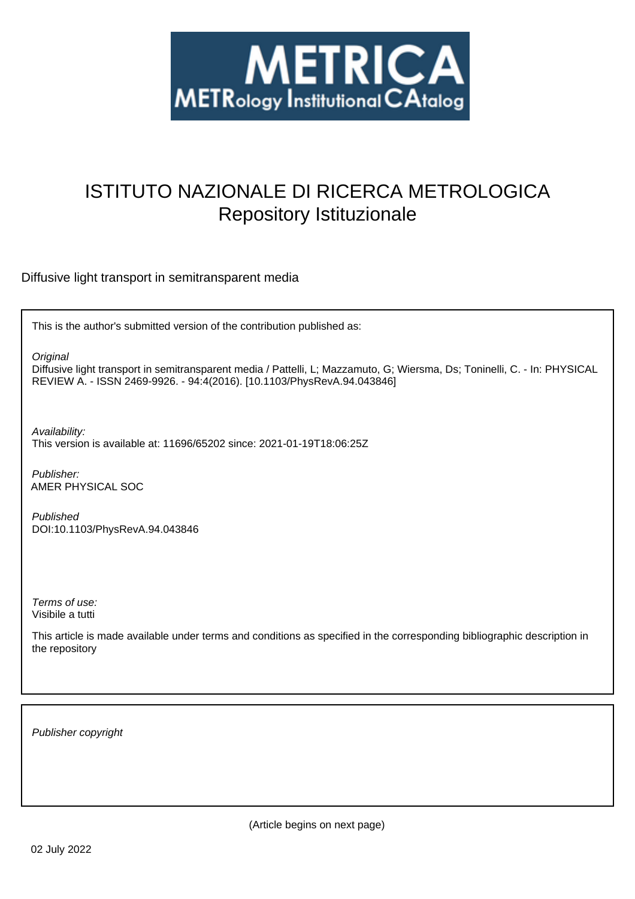

# ISTITUTO NAZIONALE DI RICERCA METROLOGICA Repository Istituzionale

Diffusive light transport in semitransparent media

This is the author's submitted version of the contribution published as:

**Original** 

Diffusive light transport in semitransparent media / Pattelli, L; Mazzamuto, G; Wiersma, Ds; Toninelli, C. - In: PHYSICAL REVIEW A. - ISSN 2469-9926. - 94:4(2016). [10.1103/PhysRevA.94.043846]

Availability:

This version is available at: 11696/65202 since: 2021-01-19T18:06:25Z

Publisher: AMER PHYSICAL SOC

Published DOI:10.1103/PhysRevA.94.043846

Terms of use: Visibile a tutti

This article is made available under terms and conditions as specified in the corresponding bibliographic description in the repository

Publisher copyright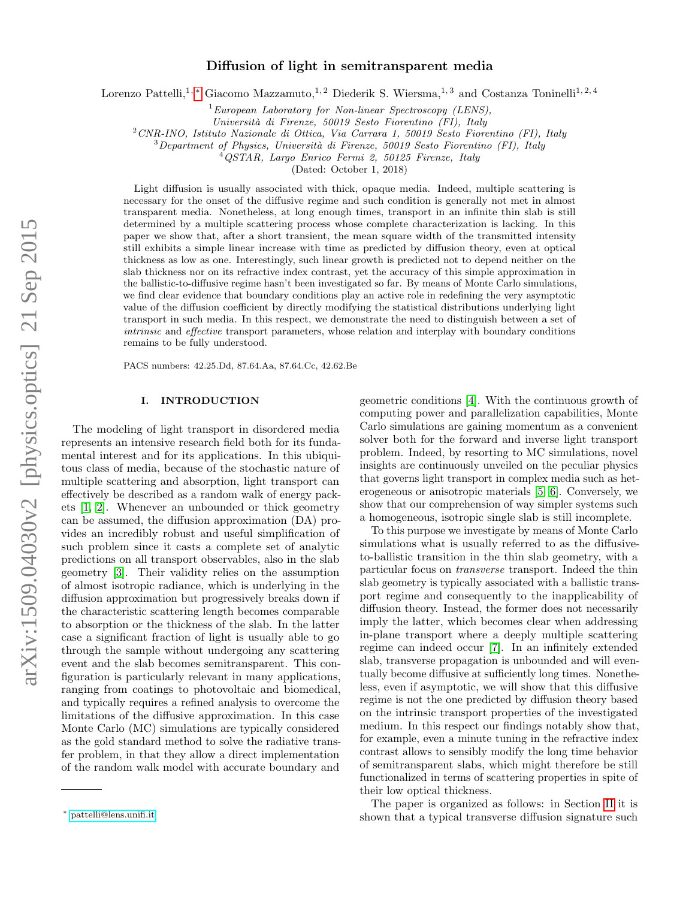# Diffusion of light in semitransparent media

Lorenzo Pattelli,<sup>1,\*</sup> Giacomo Mazzamuto,<sup>1,2</sup> Diederik S. Wiersma,<sup>1,3</sup> and Costanza Toninelli<sup>1,2,4</sup>

 $1$ European Laboratory for Non-linear Spectroscopy (LENS),

Universit`a di Firenze, 50019 Sesto Fiorentino (FI), Italy

<sup>2</sup>CNR-INO, Istituto Nazionale di Ottica, Via Carrara 1, 50019 Sesto Fiorentino (FI), Italy

 $3$ Department of Physics, Università di Firenze, 50019 Sesto Fiorentino (FI), Italy

<sup>4</sup>QSTAR, Largo Enrico Fermi 2, 50125 Firenze, Italy

(Dated: October 1, 2018)

Light diffusion is usually associated with thick, opaque media. Indeed, multiple scattering is necessary for the onset of the diffusive regime and such condition is generally not met in almost transparent media. Nonetheless, at long enough times, transport in an infinite thin slab is still determined by a multiple scattering process whose complete characterization is lacking. In this paper we show that, after a short transient, the mean square width of the transmitted intensity still exhibits a simple linear increase with time as predicted by diffusion theory, even at optical thickness as low as one. Interestingly, such linear growth is predicted not to depend neither on the slab thickness nor on its refractive index contrast, yet the accuracy of this simple approximation in the ballistic-to-diffusive regime hasn't been investigated so far. By means of Monte Carlo simulations, we find clear evidence that boundary conditions play an active role in redefining the very asymptotic value of the diffusion coefficient by directly modifying the statistical distributions underlying light transport in such media. In this respect, we demonstrate the need to distinguish between a set of intrinsic and effective transport parameters, whose relation and interplay with boundary conditions remains to be fully understood.

PACS numbers: 42.25.Dd, 87.64.Aa, 87.64.Cc, 42.62.Be

#### I. INTRODUCTION

The modeling of light transport in disordered media represents an intensive research field both for its fundamental interest and for its applications. In this ubiquitous class of media, because of the stochastic nature of multiple scattering and absorption, light transport can effectively be described as a random walk of energy packets [1, 2]. Whenever an unbounded or thick geometry can be assumed, the diffusion approximation (DA) provides an incredibly robust and useful simplification of such problem since it casts a complete set of analytic predictions on all transport observables, also in the slab geometry [3]. Their validity relies on the assumption of almost isotropic radiance, which is underlying in the diffusion approximation but progressively breaks down if the characteristic scattering length becomes comparable to absorption or the thickness of the slab. In the latter case a significant fraction of light is usually able to go through the sample without undergoing any scattering event and the slab becomes semitransparent. This configuration is particularly relevant in many applications, ranging from coatings to photovoltaic and biomedical, and typically requires a refined analysis to overcome the limitations of the diffusive approximation. In this case Monte Carlo (MC) simulations are typically considered as the gold standard method to solve the radiative transfer problem, in that they allow a direct implementation of the random walk model with accurate boundary and

geometric conditions [4]. With the continuous growth of computing power and parallelization capabilities, Monte Carlo simulations are gaining momentum as a convenient solver both for the forward and inverse light transport problem. Indeed, by resorting to MC simulations, novel insights are continuously unveiled on the peculiar physics that governs light transport in complex media such as heterogeneous or anisotropic materials [5, 6]. Conversely, we show that our comprehension of way simpler systems such a homogeneous, isotropic single slab is still incomplete.

To this purpose we investigate by means of Monte Carlo simulations what is usually referred to as the diffusiveto-ballistic transition in the thin slab geometry, with a particular focus on transverse transport. Indeed the thin slab geometry is typically associated with a ballistic transport regime and consequently to the inapplicability of diffusion theory. Instead, the former does not necessarily imply the latter, which becomes clear when addressing in-plane transport where a deeply multiple scattering regime can indeed occur [7]. In an infinitely extended slab, transverse propagation is unbounded and will eventually become diffusive at sufficiently long times. Nonetheless, even if asymptotic, we will show that this diffusive regime is not the one predicted by diffusion theory based on the intrinsic transport properties of the investigated medium. In this respect our findings notably show that, for example, even a minute tuning in the refractive index contrast allows to sensibly modify the long time behavior of semitransparent slabs, which might therefore be still functionalized in terms of scattering properties in spite of their low optical thickness.

The paper is organized as follows: in Section II it is shown that a typical transverse diffusion signature such

<sup>∗</sup> [pattelli@lens.unifi.it](mailto:pattelli@lens.unifi.it)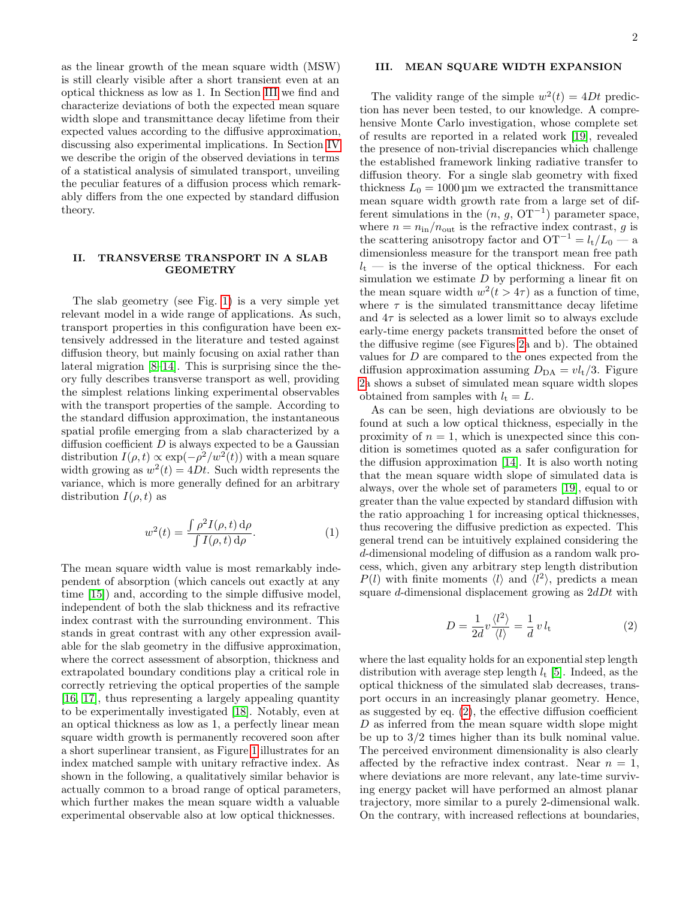as the linear growth of the mean square width (MSW) is still clearly visible after a short transient even at an optical thickness as low as 1. In Section III we find and characterize deviations of both the expected mean square width slope and transmittance decay lifetime from their expected values according to the diffusive approximation, discussing also experimental implications. In Section IV we describe the origin of the observed deviations in terms of a statistical analysis of simulated transport, unveiling the peculiar features of a diffusion process which remarkably differs from the one expected by standard diffusion theory.

## II. TRANSVERSE TRANSPORT IN A SLAB GEOMETRY

The slab geometry (see Fig. 1) is a very simple yet relevant model in a wide range of applications. As such, transport properties in this configuration have been extensively addressed in the literature and tested against diffusion theory, but mainly focusing on axial rather than lateral migration [8–14]. This is surprising since the theory fully describes transverse transport as well, providing the simplest relations linking experimental observables with the transport properties of the sample. According to the standard diffusion approximation, the instantaneous spatial profile emerging from a slab characterized by a diffusion coefficient  $D$  is always expected to be a Gaussian distribution  $I(\rho, t) \propto \exp(-\rho^2/w^2(t))$  with a mean square width growing as  $w^2(t) = 4Dt$ . Such width represents the variance, which is more generally defined for an arbitrary distribution  $I(\rho, t)$  as

$$
w^{2}(t) = \frac{\int \rho^{2} I(\rho, t) d\rho}{\int I(\rho, t) d\rho}.
$$
 (1)

The mean square width value is most remarkably independent of absorption (which cancels out exactly at any time [15]) and, according to the simple diffusive model, independent of both the slab thickness and its refractive index contrast with the surrounding environment. This stands in great contrast with any other expression available for the slab geometry in the diffusive approximation, where the correct assessment of absorption, thickness and extrapolated boundary conditions play a critical role in correctly retrieving the optical properties of the sample [16, 17], thus representing a largely appealing quantity to be experimentally investigated [18]. Notably, even at an optical thickness as low as 1, a perfectly linear mean square width growth is permanently recovered soon after a short superlinear transient, as Figure 1 illustrates for an index matched sample with unitary refractive index. As shown in the following, a qualitatively similar behavior is actually common to a broad range of optical parameters, which further makes the mean square width a valuable experimental observable also at low optical thicknesses.

### III. MEAN SQUARE WIDTH EXPANSION

The validity range of the simple  $w^2(t) = 4Dt$  prediction has never been tested, to our knowledge. A comprehensive Monte Carlo investigation, whose complete set of results are reported in a related work [19], revealed the presence of non-trivial discrepancies which challenge the established framework linking radiative transfer to diffusion theory. For a single slab geometry with fixed thickness  $L_0 = 1000 \,\text{\mu m}$  we extracted the transmittance mean square width growth rate from a large set of different simulations in the  $(n, g, 0T^{-1})$  parameter space, where  $n = n_{\text{in}}/n_{\text{out}}$  is the refractive index contrast, g is the scattering anisotropy factor and  $OT^{-1} = l_t/L_0$  — a dimensionless measure for the transport mean free path  $l_t$  — is the inverse of the optical thickness. For each simulation we estimate  $D$  by performing a linear fit on the mean square width  $w^2(t > 4\tau)$  as a function of time, where  $\tau$  is the simulated transmittance decay lifetime and  $4\tau$  is selected as a lower limit so to always exclude early-time energy packets transmitted before the onset of the diffusive regime (see Figures 2a and b). The obtained values for  $D$  are compared to the ones expected from the diffusion approximation assuming  $D_{\text{DA}} = v l_t/3$ . Figure 2a shows a subset of simulated mean square width slopes obtained from samples with  $l_t = L$ .

As can be seen, high deviations are obviously to be found at such a low optical thickness, especially in the proximity of  $n = 1$ , which is unexpected since this condition is sometimes quoted as a safer configuration for the diffusion approximation [14]. It is also worth noting that the mean square width slope of simulated data is always, over the whole set of parameters [19], equal to or greater than the value expected by standard diffusion with the ratio approaching 1 for increasing optical thicknesses, thus recovering the diffusive prediction as expected. This general trend can be intuitively explained considering the d-dimensional modeling of diffusion as a random walk process, which, given any arbitrary step length distribution  $P(l)$  with finite moments  $\langle l \rangle$  and  $\langle l^2 \rangle$ , predicts a mean square  $d$ -dimensional displacement growing as  $2dDt$  with

$$
D = \frac{1}{2d}v\frac{\langle l^2 \rangle}{\langle l \rangle} = \frac{1}{d}v l_{\rm t}
$$
 (2)

where the last equality holds for an exponential step length distribution with average step length  $l_t$  [5]. Indeed, as the optical thickness of the simulated slab decreases, transport occurs in an increasingly planar geometry. Hence, as suggested by eq. (2), the effective diffusion coefficient D as inferred from the mean square width slope might be up to 3/2 times higher than its bulk nominal value. The perceived environment dimensionality is also clearly affected by the refractive index contrast. Near  $n = 1$ , where deviations are more relevant, any late-time surviving energy packet will have performed an almost planar trajectory, more similar to a purely 2-dimensional walk. On the contrary, with increased reflections at boundaries,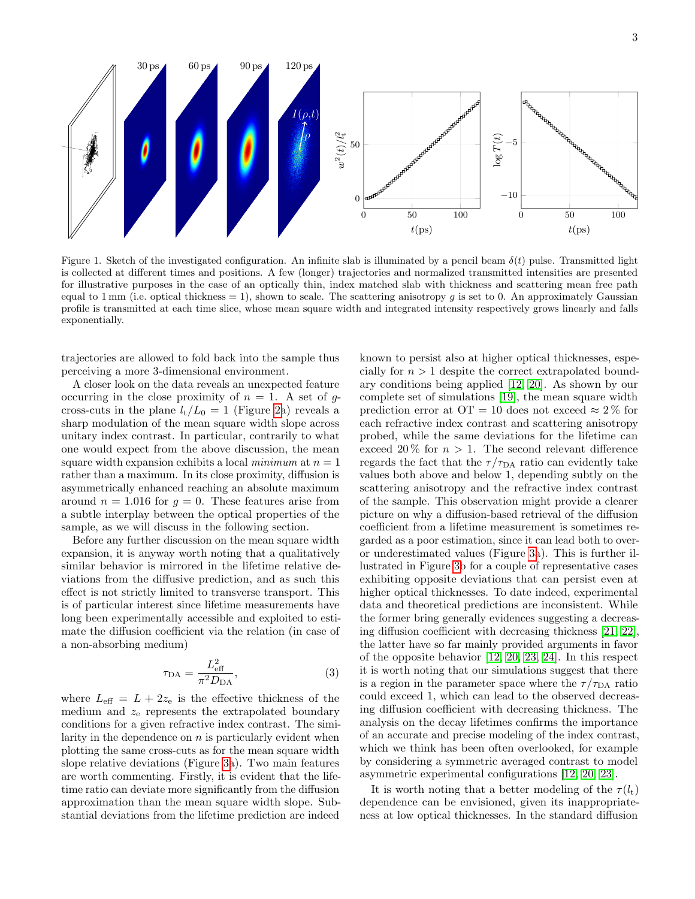

Figure 1. Sketch of the investigated configuration. An infinite slab is illuminated by a pencil beam  $\delta(t)$  pulse. Transmitted light is collected at different times and positions. A few (longer) trajectories and normalized transmitted intensities are presented for illustrative purposes in the case of an optically thin, index matched slab with thickness and scattering mean free path equal to 1 mm (i.e. optical thickness = 1), shown to scale. The scattering anisotropy q is set to 0. An approximately Gaussian profile is transmitted at each time slice, whose mean square width and integrated intensity respectively grows linearly and falls exponentially.

trajectories are allowed to fold back into the sample thus perceiving a more 3-dimensional environment.

A closer look on the data reveals an unexpected feature occurring in the close proximity of  $n = 1$ . A set of gcross-cuts in the plane  $l_t/L_0 = 1$  (Figure 2a) reveals a sharp modulation of the mean square width slope across unitary index contrast. In particular, contrarily to what one would expect from the above discussion, the mean square width expansion exhibits a local minimum at  $n = 1$ rather than a maximum. In its close proximity, diffusion is asymmetrically enhanced reaching an absolute maximum around  $n = 1.016$  for  $q = 0$ . These features arise from a subtle interplay between the optical properties of the sample, as we will discuss in the following section.

Before any further discussion on the mean square width expansion, it is anyway worth noting that a qualitatively similar behavior is mirrored in the lifetime relative deviations from the diffusive prediction, and as such this effect is not strictly limited to transverse transport. This is of particular interest since lifetime measurements have long been experimentally accessible and exploited to estimate the diffusion coefficient via the relation (in case of a non-absorbing medium)

$$
\tau_{\text{DA}} = \frac{L_{\text{eff}}^2}{\pi^2 D_{\text{DA}}},\tag{3}
$$

where  $L_{\text{eff}} = L + 2z_e$  is the effective thickness of the medium and  $z<sub>e</sub>$  represents the extrapolated boundary conditions for a given refractive index contrast. The similarity in the dependence on  $n$  is particularly evident when plotting the same cross-cuts as for the mean square width slope relative deviations (Figure 3a). Two main features are worth commenting. Firstly, it is evident that the lifetime ratio can deviate more significantly from the diffusion approximation than the mean square width slope. Substantial deviations from the lifetime prediction are indeed known to persist also at higher optical thicknesses, especially for  $n > 1$  despite the correct extrapolated boundary conditions being applied [12, 20]. As shown by our complete set of simulations [19], the mean square width prediction error at  $OT = 10$  does not exceed  $\approx 2\%$  for each refractive index contrast and scattering anisotropy probed, while the same deviations for the lifetime can exceed 20% for  $n > 1$ . The second relevant difference regards the fact that the  $\tau/\tau_{DA}$  ratio can evidently take values both above and below 1, depending subtly on the scattering anisotropy and the refractive index contrast of the sample. This observation might provide a clearer picture on why a diffusion-based retrieval of the diffusion coefficient from a lifetime measurement is sometimes regarded as a poor estimation, since it can lead both to overor underestimated values (Figure 3a). This is further illustrated in Figure 3b for a couple of representative cases exhibiting opposite deviations that can persist even at higher optical thicknesses. To date indeed, experimental data and theoretical predictions are inconsistent. While the former bring generally evidences suggesting a decreasing diffusion coefficient with decreasing thickness [21, 22], the latter have so far mainly provided arguments in favor of the opposite behavior [12, 20, 23, 24]. In this respect it is worth noting that our simulations suggest that there is a region in the parameter space where the  $\tau/\tau_{DA}$  ratio could exceed 1, which can lead to the observed decreasing diffusion coefficient with decreasing thickness. The analysis on the decay lifetimes confirms the importance of an accurate and precise modeling of the index contrast, which we think has been often overlooked, for example by considering a symmetric averaged contrast to model asymmetric experimental configurations [12, 20, 23].

It is worth noting that a better modeling of the  $\tau(l_t)$ dependence can be envisioned, given its inappropriateness at low optical thicknesses. In the standard diffusion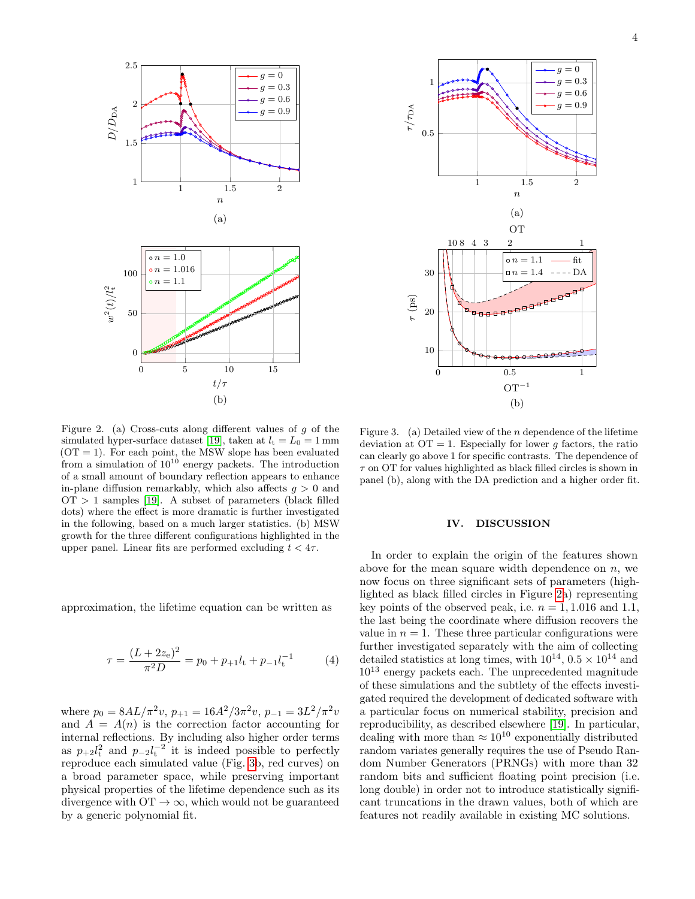

Figure 2. (a) Cross-cuts along different values of g of the simulated hyper-surface dataset [19], taken at  $l_t = L_0 = 1 \,\text{mm}$  $(OT = 1)$ . For each point, the MSW slope has been evaluated from a simulation of  $10^{10}$  energy packets. The introduction of a small amount of boundary reflection appears to enhance in-plane diffusion remarkably, which also affects  $g > 0$  and  $\text{OT} > 1$  samples [19]. A subset of parameters (black filled dots) where the effect is more dramatic is further investigated in the following, based on a much larger statistics. (b) MSW growth for the three different configurations highlighted in the upper panel. Linear fits are performed excluding  $t < 4\tau$ .

approximation, the lifetime equation can be written as

$$
\tau = \frac{(L + 2z_e)^2}{\pi^2 D} = p_0 + p_{+1}l_t + p_{-1}l_t^{-1}
$$
 (4)

where  $p_0 = 8AL/\pi^2 v$ ,  $p_{+1} = 16A^2/3\pi^2 v$ ,  $p_{-1} = 3L^2/\pi^2 v$ and  $A = A(n)$  is the correction factor accounting for internal reflections. By including also higher order terms as  $p_{+2}l_{\rm t}^2$  and  $p_{-2}l_{\rm t}^{-2}$  it is indeed possible to perfectly reproduce each simulated value (Fig. 3b, red curves) on a broad parameter space, while preserving important physical properties of the lifetime dependence such as its divergence with  $\mathrm{OT} \to \infty$ , which would not be guaranteed by a generic polynomial fit.



Figure 3. (a) Detailed view of the  $n$  dependence of the lifetime deviation at  $\overline{OT} = 1$ . Especially for lower q factors, the ratio can clearly go above 1 for specific contrasts. The dependence of  $\tau$  on OT for values highlighted as black filled circles is shown in panel (b), along with the DA prediction and a higher order fit.

### IV. DISCUSSION

In order to explain the origin of the features shown above for the mean square width dependence on  $n$ , we now focus on three significant sets of parameters (highlighted as black filled circles in Figure 2a) representing key points of the observed peak, i.e.  $n = 1, 1.016$  and 1.1, the last being the coordinate where diffusion recovers the value in  $n = 1$ . These three particular configurations were further investigated separately with the aim of collecting detailed statistics at long times, with  $10^{14}$ ,  $0.5 \times 10^{14}$  and  $10^{13}$  energy packets each. The unprecedented magnitude of these simulations and the subtlety of the effects investigated required the development of dedicated software with a particular focus on numerical stability, precision and reproducibility, as described elsewhere [19]. In particular, dealing with more than  $\approx 10^{10}$  exponentially distributed random variates generally requires the use of Pseudo Random Number Generators (PRNGs) with more than 32 random bits and sufficient floating point precision (i.e. long double) in order not to introduce statistically significant truncations in the drawn values, both of which are features not readily available in existing MC solutions.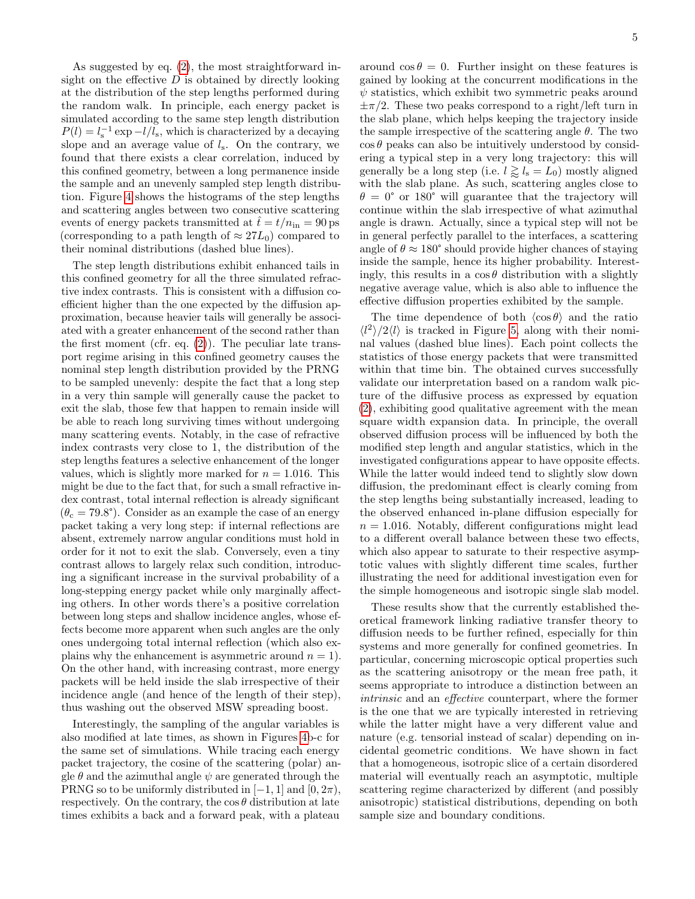As suggested by eq. (2), the most straightforward insight on the effective  $D$  is obtained by directly looking at the distribution of the step lengths performed during the random walk. In principle, each energy packet is simulated according to the same step length distribution  $P(l) = l_s^{-1} \exp(-l/l_s)$ , which is characterized by a decaying slope and an average value of  $l_s$ . On the contrary, we found that there exists a clear correlation, induced by this confined geometry, between a long permanence inside the sample and an unevenly sampled step length distribution. Figure 4 shows the histograms of the step lengths and scattering angles between two consecutive scattering events of energy packets transmitted at  $\tilde{t} = t/n_{\text{in}} = 90 \,\text{ps}$ (corresponding to a path length of  $\approx 27L_0$ ) compared to their nominal distributions (dashed blue lines).

The step length distributions exhibit enhanced tails in this confined geometry for all the three simulated refractive index contrasts. This is consistent with a diffusion coefficient higher than the one expected by the diffusion approximation, because heavier tails will generally be associated with a greater enhancement of the second rather than the first moment (cfr. eq.  $(2)$ ). The peculiar late transport regime arising in this confined geometry causes the nominal step length distribution provided by the PRNG to be sampled unevenly: despite the fact that a long step in a very thin sample will generally cause the packet to exit the slab, those few that happen to remain inside will be able to reach long surviving times without undergoing many scattering events. Notably, in the case of refractive index contrasts very close to 1, the distribution of the step lengths features a selective enhancement of the longer values, which is slightly more marked for  $n = 1.016$ . This might be due to the fact that, for such a small refractive index contrast, total internal reflection is already significant  $(\theta_c = 79.8^{\circ})$ . Consider as an example the case of an energy packet taking a very long step: if internal reflections are absent, extremely narrow angular conditions must hold in order for it not to exit the slab. Conversely, even a tiny contrast allows to largely relax such condition, introducing a significant increase in the survival probability of a long-stepping energy packet while only marginally affecting others. In other words there's a positive correlation between long steps and shallow incidence angles, whose effects become more apparent when such angles are the only ones undergoing total internal reflection (which also explains why the enhancement is asymmetric around  $n = 1$ . On the other hand, with increasing contrast, more energy packets will be held inside the slab irrespective of their incidence angle (and hence of the length of their step), thus washing out the observed MSW spreading boost.

Interestingly, the sampling of the angular variables is also modified at late times, as shown in Figures 4b-c for the same set of simulations. While tracing each energy packet trajectory, the cosine of the scattering (polar) angle  $\theta$  and the azimuthal angle  $\psi$  are generated through the PRNG so to be uniformly distributed in  $[-1, 1]$  and  $[0, 2\pi)$ , respectively. On the contrary, the  $\cos \theta$  distribution at late times exhibits a back and a forward peak, with a plateau

around  $\cos \theta = 0$ . Further insight on these features is gained by looking at the concurrent modifications in the  $\psi$  statistics, which exhibit two symmetric peaks around  $\pm \pi/2$ . These two peaks correspond to a right/left turn in the slab plane, which helps keeping the trajectory inside the sample irrespective of the scattering angle  $\theta$ . The two  $\cos \theta$  peaks can also be intuitively understood by considering a typical step in a very long trajectory: this will generally be a long step (i.e.  $l \gtrapprox l_{\rm s} = L_0$ ) mostly aligned with the slab plane. As such, scattering angles close to  $\theta = 0^{\circ}$  or 180° will guarantee that the trajectory will continue within the slab irrespective of what azimuthal angle is drawn. Actually, since a typical step will not be in general perfectly parallel to the interfaces, a scattering angle of  $\theta \approx 180^{\circ}$  should provide higher chances of staying inside the sample, hence its higher probability. Interestingly, this results in a  $\cos \theta$  distribution with a slightly negative average value, which is also able to influence the effective diffusion properties exhibited by the sample.

The time dependence of both  $\langle \cos \theta \rangle$  and the ratio  $\langle l^2 \rangle / 2 \langle l \rangle$  is tracked in Figure 5, along with their nominal values (dashed blue lines). Each point collects the statistics of those energy packets that were transmitted within that time bin. The obtained curves successfully validate our interpretation based on a random walk picture of the diffusive process as expressed by equation (2), exhibiting good qualitative agreement with the mean square width expansion data. In principle, the overall observed diffusion process will be influenced by both the modified step length and angular statistics, which in the investigated configurations appear to have opposite effects. While the latter would indeed tend to slightly slow down diffusion, the predominant effect is clearly coming from the step lengths being substantially increased, leading to the observed enhanced in-plane diffusion especially for  $n = 1.016$ . Notably, different configurations might lead to a different overall balance between these two effects, which also appear to saturate to their respective asymptotic values with slightly different time scales, further illustrating the need for additional investigation even for the simple homogeneous and isotropic single slab model.

These results show that the currently established theoretical framework linking radiative transfer theory to diffusion needs to be further refined, especially for thin systems and more generally for confined geometries. In particular, concerning microscopic optical properties such as the scattering anisotropy or the mean free path, it seems appropriate to introduce a distinction between an intrinsic and an effective counterpart, where the former is the one that we are typically interested in retrieving while the latter might have a very different value and nature (e.g. tensorial instead of scalar) depending on incidental geometric conditions. We have shown in fact that a homogeneous, isotropic slice of a certain disordered material will eventually reach an asymptotic, multiple scattering regime characterized by different (and possibly anisotropic) statistical distributions, depending on both sample size and boundary conditions.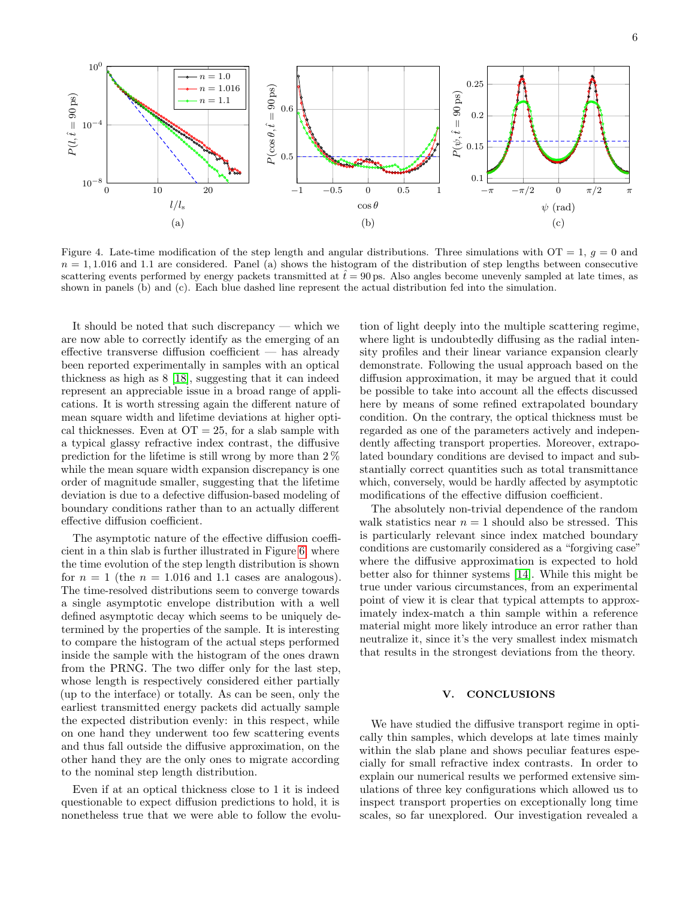

Figure 4. Late-time modification of the step length and angular distributions. Three simulations with  $OT = 1$ ,  $q = 0$  and  $n = 1, 1.016$  and 1.1 are considered. Panel (a) shows the histogram of the distribution of step lengths between consecutive scattering events performed by energy packets transmitted at  $\hat{t}=90 \,\text{ps}$ . Also angles become unevenly sampled at late times, as shown in panels (b) and (c). Each blue dashed line represent the actual distribution fed into the simulation.

It should be noted that such discrepancy — which we are now able to correctly identify as the emerging of an effective transverse diffusion coefficient — has already been reported experimentally in samples with an optical thickness as high as 8 [18], suggesting that it can indeed represent an appreciable issue in a broad range of applications. It is worth stressing again the different nature of mean square width and lifetime deviations at higher optical thicknesses. Even at  $\overline{OT} = 25$ , for a slab sample with a typical glassy refractive index contrast, the diffusive prediction for the lifetime is still wrong by more than 2 % while the mean square width expansion discrepancy is one order of magnitude smaller, suggesting that the lifetime deviation is due to a defective diffusion-based modeling of boundary conditions rather than to an actually different effective diffusion coefficient.

The asymptotic nature of the effective diffusion coefficient in a thin slab is further illustrated in Figure 6, where the time evolution of the step length distribution is shown for  $n = 1$  (the  $n = 1.016$  and 1.1 cases are analogous). The time-resolved distributions seem to converge towards a single asymptotic envelope distribution with a well defined asymptotic decay which seems to be uniquely determined by the properties of the sample. It is interesting to compare the histogram of the actual steps performed inside the sample with the histogram of the ones drawn from the PRNG. The two differ only for the last step, whose length is respectively considered either partially (up to the interface) or totally. As can be seen, only the earliest transmitted energy packets did actually sample the expected distribution evenly: in this respect, while on one hand they underwent too few scattering events and thus fall outside the diffusive approximation, on the other hand they are the only ones to migrate according to the nominal step length distribution.

Even if at an optical thickness close to 1 it is indeed questionable to expect diffusion predictions to hold, it is nonetheless true that we were able to follow the evolu-

tion of light deeply into the multiple scattering regime, where light is undoubtedly diffusing as the radial intensity profiles and their linear variance expansion clearly demonstrate. Following the usual approach based on the diffusion approximation, it may be argued that it could be possible to take into account all the effects discussed here by means of some refined extrapolated boundary condition. On the contrary, the optical thickness must be regarded as one of the parameters actively and independently affecting transport properties. Moreover, extrapolated boundary conditions are devised to impact and substantially correct quantities such as total transmittance which, conversely, would be hardly affected by asymptotic modifications of the effective diffusion coefficient.

The absolutely non-trivial dependence of the random walk statistics near  $n = 1$  should also be stressed. This is particularly relevant since index matched boundary conditions are customarily considered as a "forgiving case" where the diffusive approximation is expected to hold better also for thinner systems [14]. While this might be true under various circumstances, from an experimental point of view it is clear that typical attempts to approximately index-match a thin sample within a reference material might more likely introduce an error rather than neutralize it, since it's the very smallest index mismatch that results in the strongest deviations from the theory.

#### V. CONCLUSIONS

We have studied the diffusive transport regime in optically thin samples, which develops at late times mainly within the slab plane and shows peculiar features especially for small refractive index contrasts. In order to explain our numerical results we performed extensive simulations of three key configurations which allowed us to inspect transport properties on exceptionally long time scales, so far unexplored. Our investigation revealed a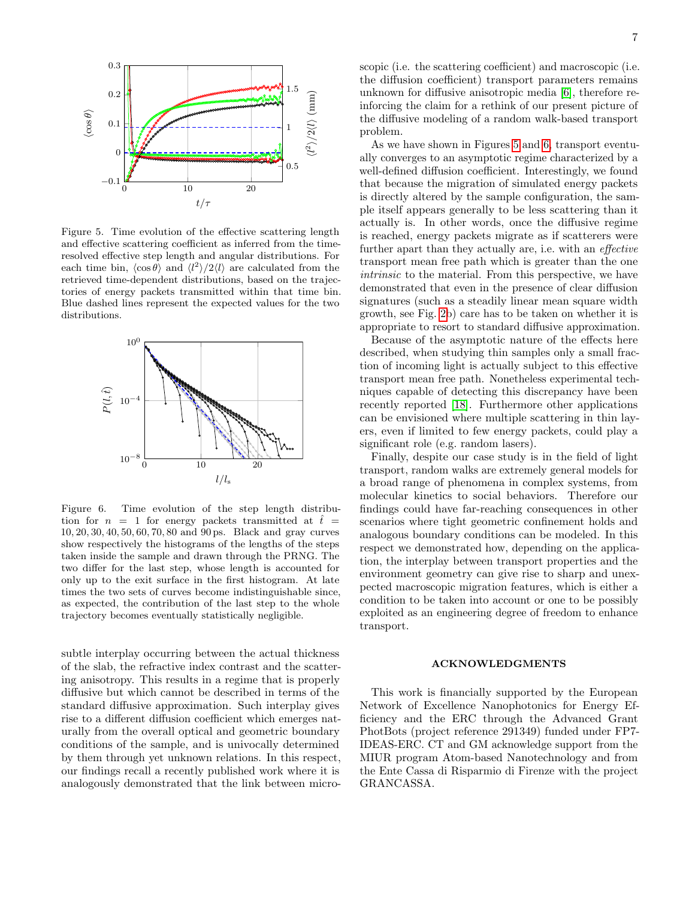

Figure 5. Time evolution of the effective scattering length and effective scattering coefficient as inferred from the timeresolved effective step length and angular distributions. For each time bin,  $\langle \cos \theta \rangle$  and  $\langle l^2 \rangle / 2 \langle l \rangle$  are calculated from the retrieved time-dependent distributions, based on the trajectories of energy packets transmitted within that time bin. Blue dashed lines represent the expected values for the two distributions.



Figure 6. Time evolution of the step length distribution for  $n = 1$  for energy packets transmitted at  $\hat{t} =$ 10, 20, 30, 40, 50, 60, 70, 80 and 90 ps. Black and gray curves show respectively the histograms of the lengths of the steps taken inside the sample and drawn through the PRNG. The two differ for the last step, whose length is accounted for only up to the exit surface in the first histogram. At late times the two sets of curves become indistinguishable since, as expected, the contribution of the last step to the whole trajectory becomes eventually statistically negligible.

subtle interplay occurring between the actual thickness of the slab, the refractive index contrast and the scattering anisotropy. This results in a regime that is properly diffusive but which cannot be described in terms of the standard diffusive approximation. Such interplay gives rise to a different diffusion coefficient which emerges naturally from the overall optical and geometric boundary conditions of the sample, and is univocally determined by them through yet unknown relations. In this respect, our findings recall a recently published work where it is analogously demonstrated that the link between microscopic (i.e. the scattering coefficient) and macroscopic (i.e. the diffusion coefficient) transport parameters remains unknown for diffusive anisotropic media [6], therefore reinforcing the claim for a rethink of our present picture of the diffusive modeling of a random walk-based transport problem.

As we have shown in Figures 5 and 6, transport eventually converges to an asymptotic regime characterized by a well-defined diffusion coefficient. Interestingly, we found that because the migration of simulated energy packets is directly altered by the sample configuration, the sample itself appears generally to be less scattering than it actually is. In other words, once the diffusive regime is reached, energy packets migrate as if scatterers were further apart than they actually are, i.e. with an effective transport mean free path which is greater than the one intrinsic to the material. From this perspective, we have demonstrated that even in the presence of clear diffusion signatures (such as a steadily linear mean square width growth, see Fig. 2b) care has to be taken on whether it is appropriate to resort to standard diffusive approximation.

Because of the asymptotic nature of the effects here described, when studying thin samples only a small fraction of incoming light is actually subject to this effective transport mean free path. Nonetheless experimental techniques capable of detecting this discrepancy have been recently reported [18]. Furthermore other applications can be envisioned where multiple scattering in thin layers, even if limited to few energy packets, could play a significant role (e.g. random lasers).

Finally, despite our case study is in the field of light transport, random walks are extremely general models for a broad range of phenomena in complex systems, from molecular kinetics to social behaviors. Therefore our findings could have far-reaching consequences in other scenarios where tight geometric confinement holds and analogous boundary conditions can be modeled. In this respect we demonstrated how, depending on the application, the interplay between transport properties and the environment geometry can give rise to sharp and unexpected macroscopic migration features, which is either a condition to be taken into account or one to be possibly exploited as an engineering degree of freedom to enhance transport.

#### ACKNOWLEDGMENTS

This work is financially supported by the European Network of Excellence Nanophotonics for Energy Efficiency and the ERC through the Advanced Grant PhotBots (project reference 291349) funded under FP7- IDEAS-ERC. CT and GM acknowledge support from the MIUR program Atom-based Nanotechnology and from the Ente Cassa di Risparmio di Firenze with the project GRANCASSA.